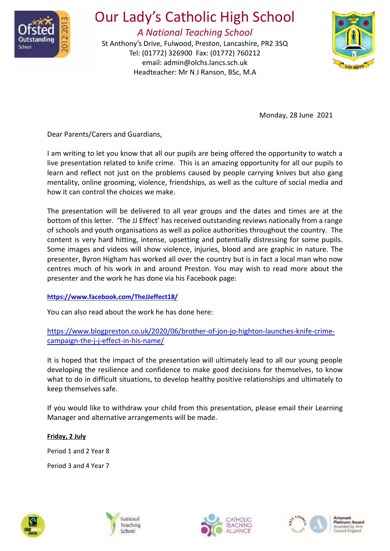

## Our Lady's Catholic High School

*A National Teaching School*

St Anthony's Drive, Fulwood, Preston, Lancashire, PR2 3SQ Tel: (01772) 326900 Fax: (01772) 760212 email: [admin@olchs.lancs.sch.uk](mailto:admin@olchs.lancs.sch.uk) Headteacher: Mr N J Ranson, BSc, M.A



Monday, 28 June 2021

Dear Parents/Carers and Guardians,

I am writing to let you know that all our pupils are being offered the opportunity to watch a live presentation related to knife crime. This is an amazing opportunity for all our pupils to learn and reflect not just on the problems caused by people carrying knives but also gang mentality, online grooming, violence, friendships, as well as the culture of social media and how it can control the choices we make.

The presentation will be delivered to all year groups and the dates and times are at the bottom of this letter. 'The JJ Effect' has received outstanding reviews nationally from a range of schools and youth organisations as well as police authorities throughout the country. The content is very hard hitting, intense, upsetting and potentially distressing for some pupils. Some images and videos will show violence, injuries, blood and are graphic in nature. The presenter, Byron Higham has worked all over the country but is in fact a local man who now centres much of his work in and around Preston. You may wish to read more about the presenter and the work he has done via his Facebook page:

## **<https://www.facebook.com/TheJJeffect18/>**

You can also read about the work he has done here:

[https://www.blogpreston.co.uk/2020/06/brother-of-jon-jo-highton-launches-knife-crime](https://www.blogpreston.co.uk/2020/06/brother-of-jon-jo-highton-launches-knife-crime-campaign-the-j-j-effect-in-his-name/)[campaign-the-j-j-effect-in-his-name/](https://www.blogpreston.co.uk/2020/06/brother-of-jon-jo-highton-launches-knife-crime-campaign-the-j-j-effect-in-his-name/)

It is hoped that the impact of the presentation will ultimately lead to all our young people developing the resilience and confidence to make good decisions for themselves, to know what to do in difficult situations, to develop healthy positive relationships and ultimately to keep themselves safe.

If you would like to withdraw your child from this presentation, please email their Learning Manager and alternative arrangements will be made.

**Friday, 2 July** Period 1 and 2 Year 8 Period 3 and 4 Year 7